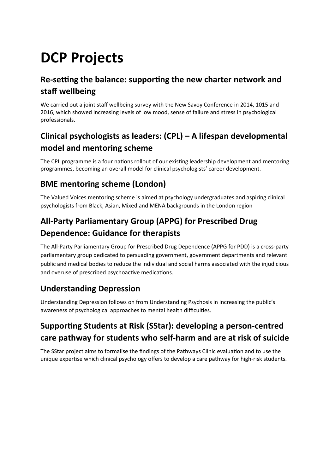# **DCP Projects**

#### **Re-setting the balance: supporting the new charter network and staff wellbeing**

We carried out a joint staff wellbeing survey with the New Savoy Conference in 2014, 1015 and 2016, which showed increasing levels of low mood, sense of failure and stress in psychological professionals.

### **Clinical psychologists as leaders: (CPL) – A lifespan developmental model and mentoring scheme**

The CPL programme is a four nations rollout of our existing leadership development and mentoring programmes, becoming an overall model for clinical psychologists' career development.

#### **BME mentoring scheme (London)**

The Valued Voices mentoring scheme is aimed at psychology undergraduates and aspiring clinical psychologists from Black, Asian, Mixed and MENA backgrounds in the London region

### **All-Party Parliamentary Group (APPG) for Prescribed Drug Dependence: Guidance for therapists**

The All-Party Parliamentary Group for Prescribed Drug Dependence (APPG for PDD) is a cross-party parliamentary group dedicated to persuading government, government departments and relevant public and medical bodies to reduce the individual and social harms associated with the injudicious and overuse of prescribed psychoactive medications.

#### **Understanding Depression**

Understanding Depression follows on from Understanding Psychosis in increasing the public's awareness of psychological approaches to mental health difficulties.

#### **Supporting Students at Risk (SStar): developing a person-centred care pathway for students who self-harm and are at risk of suicide**

The SStar project aims to formalise the findings of the Pathways Clinic evaluation and to use the unique expertise which clinical psychology offers to develop a care pathway for high-risk students.